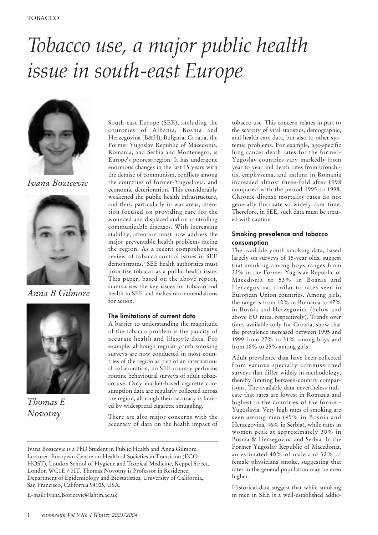# *Tobacco use, a major public health issue in south-east Europe*



*Ivana Bozicevic*



*Anna B Gilmore*



*Thomas E Novotny*

South-east Europe (SEE), including the countries of Albania, Bosnia and Herzegovina (B&H), Bulgaria, Croatia, the Former Yugoslav Republic of Macedonia, Romania, and Serbia and Montenegro, is Europe's poorest region. It has undergone enormous changes in the last 15 years with the demise of communism, conflicts among the countries of former-Yugoslavia, and economic deterioration. This considerably weakened the public health infrastructure, and thus, particularly in war areas, attention focused on providing care for the wounded and displaced and on controlling communicable diseases. With increasing stability, attention must now address the major preventable health problems facing the region. As a recent comprehensive review of tobacco control issues in SEE demonstrates,<sup>1</sup> SEE health authorities must prioritise tobacco as a public health issue. This paper, based on the above report, summarises the key issues for tobacco and health in SEE and makes recommendations for action.

## *The limitations of current data*

A barrier to understanding the magnitude of the tobacco problem is the paucity of accurate health and lifestyle data. For example, although regular youth smoking surveys are now conducted in most countries of the region as part of an international collaboration, no SEE country performs routine behavioural surveys of adult tobacco use. Only market-based cigarette consumption data are regularly collected across the region, although their accuracy is limited by widespread cigarette smuggling.

There are also major concerns with the accuracy of data on the health impact of

E-mail: Ivana.Bozicevic@lshtm.ac.uk

tobacco use. This concern relates in part to the scarcity of vital statistics, demographic, and health care data, but also to other systemic problems. For example, age-specific lung cancer death rates for the former-Yugoslav countries vary markedly from year to year and death rates from bronchitis, emphysema, and asthma in Romania increased almost three-fold after 1998 compared with the period 1995 to 1998. Chronic disease mortality rates do not generally fluctuate so widely over time. Therefore, in SEE, such data must be treated with caution

## *Smoking prevalence and tobacco consumption*

The available youth smoking data, based largely on surveys of 15-year olds, suggest that smoking among boys ranges from 22% in the Former Yugoslav Republic of Macedonia to 53% in Bosnia and Herzegovina, similar to rates seen in European Union countries. Among girls, the range is from 10% in Romania to 47% in Bosnia and Herzegovina (below and above EU rates, respectively). Trends over time, available only for Croatia, show that the prevalence increased between 1995 and 1999 from 27% to 31% among boys and from 18% to 25% among girls.

Adult prevalence data have been collected from various specially commissioned surveys that differ widely in methodology, thereby limiting between-country comparisons. The available data nevertheless indicate that rates are lowest in Romania and highest in the countries of the former-Yugoslavia. Very high rates of smoking are seen among men (49% in Bosnia and Herzegovina, 46% in Serbia), while rates in women peak at approximately 30% in Bosnia & Herzegovina and Serbia. In the Former Yugoslav Republic of Macedonia, an estimated 40% of male and 32% of female physicians smoke, suggesting that rates in the general population may be even higher.

Historical data suggest that while smoking in men in SEE is a well-established addic-

Ivana Bozicevic is a PhD Student in Public Health and Anna Gilmore, Lecturer, European Centre on Health of Societies in Transition (ECO-HOST), London School of Hygiene and Tropical Medicine, Keppel Street, London WC1E 7 HT. Thomas Novotny is Professor in Residence, Department of Epidemiology and Biostatistics, University of California, San Francisco, California 94105, USA.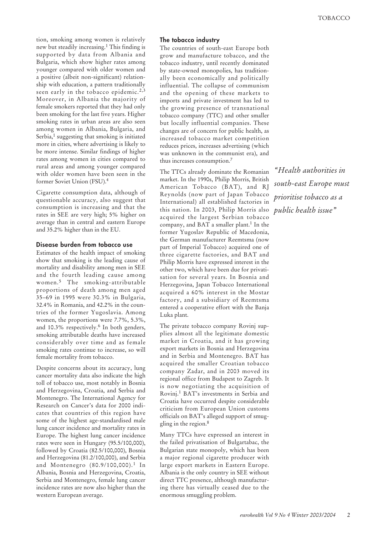tion, smoking among women is relatively new but steadily increasing.1 This finding is supported by data from Albania and Bulgaria, which show higher rates among younger compared with older women and a positive (albeit non-significant) relationship with education, a pattern traditionally seen early in the tobacco epidemic.<sup>2,3</sup> Moreover, in Albania the majority of female smokers reported that they had only been smoking for the last five years. Higher smoking rates in urban areas are also seen among women in Albania, Bulgaria, and Serbia,<sup>1</sup> suggesting that smoking is initiated more in cities, where advertising is likely to be more intense. Similar findings of higher rates among women in cities compared to rural areas and among younger compared with older women have been seen in the former Soviet Union (FSU).4

Cigarette consumption data, although of questionable accuracy, also suggest that consumption is increasing and that the rates in SEE are very high; 5% higher on average than in central and eastern Europe and 35.2% higher than in the EU.

#### *Disease burden from tobacco use*

Estimates of the health impact of smoking show that smoking is the leading cause of mortality and disability among men in SEE and the fourth leading cause among women.<sup>5</sup> The smoking-attributable proportions of death among men aged 35–69 in 1995 were 30.3% in Bulgaria, 32.4% in Romania, and 42.2% in the countries of the former Yugoslavia. Among women, the proportions were 7.7%, 5.3%, and 10.3% respectively.<sup>6</sup> In both genders, smoking attributable deaths have increased considerably over time and as female smoking rates continue to increase, so will female mortality from tobacco.

Despite concerns about its accuracy, lung cancer mortality data also indicate the high toll of tobacco use, most notably in Bosnia and Herzegovina, Croatia, and Serbia and Montenegro. The International Agency for Research on Cancer's data for 2000 indicates that countries of this region have some of the highest age-standardised male lung cancer incidence and mortality rates in Europe. The highest lung cancer incidence rates were seen in Hungary (95.5/100,000), followed by Croatia (82.5/100,000), Bosnia and Herzegovina (81.2/100,000), and Serbia and Montenegro (80.9/100,000).<sup>1</sup> In Albania, Bosnia and Herzegovina, Croatia, Serbia and Montenegro, female lung cancer incidence rates are now also higher than the western European average.

### *The tobacco industry*

The countries of south-east Europe both grow and manufacture tobacco, and the tobacco industry, until recently dominated by state-owned monopolies, has traditionally been economically and politically influential. The collapse of communism and the opening of these markets to imports and private investment has led to the growing presence of transnational tobacco company (TTC) and other smaller but locally influential companies. These changes are of concern for public health, as increased tobacco market competition reduces prices, increases advertising (which was unknown in the communist era), and thus increases consumption.7

The TTCs already dominate the Romanian market. In the 1990s, Philip Morris, British American Tobacco (BAT), and RJ Reynolds (now part of Japan Tobacco International) all established factories in this nation. In 2003, Philip Morris also acquired the largest Serbian tobacco company, and BAT a smaller plant.<sup>1</sup> In the former Yugoslav Republic of Macedonia, the German manufacturer Reemtsma (now part of Imperial Tobacco) acquired one of three cigarette factories, and BAT and Philip Morris have expressed interest in the other two, which have been due for privatisation for several years. In Bosnia and Herzegovina, Japan Tobacco International acquired a 60% interest in the Mostar factory, and a subsidiary of Reemtsma entered a cooperative effort with the Banja Luka plant.

The private tobacco company Rovinj supplies almost all the legitimate domestic market in Croatia, and it has growing export markets in Bosnia and Herzegovina and in Serbia and Montenegro. BAT has acquired the smaller Croatian tobacco company Zadar, and in 2003 moved its regional office from Budapest to Zagreb. It is now negotiating the acquisition of Rovinj.<sup>1</sup> BAT's investments in Serbia and Croatia have occurred despite considerable criticism from European Union customs officials on BAT's alleged support of smuggling in the region.<sup>8</sup>

Many TTCs have expressed an interest in the failed privatisation of Bulgartabac, the Bulgarian state monopoly, which has been a major regional cigarette producer with large export markets in Eastern Europe. Albania is the only country in SEE without direct TTC presence, although manufacturing there has virtually ceased due to the enormous smuggling problem.

*"Health authorities in south-east Europe must prioritise tobacco as a public health issue"*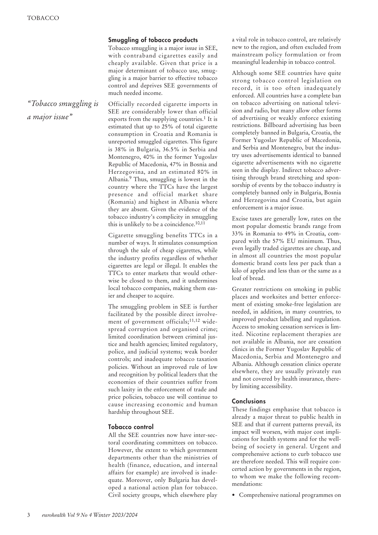*a major issue"*

## *Smuggling of tobacco products*

Tobacco smuggling is a major issue in SEE, with contraband cigarettes easily and cheaply available. Given that price is a major determinant of tobacco use, smuggling is a major barrier to effective tobacco control and deprives SEE governments of much needed income.

Officially recorded cigarette imports in SEE are considerably lower than official exports from the supplying countries.<sup>1</sup> It is estimated that up to 25% of total cigarette consumption in Croatia and Romania is unreported smuggled cigarettes. This figure is 38% in Bulgaria, 36.5% in Serbia and Montenegro, 40% in the former Yugoslav Republic of Macedonia, 47% in Bosnia and Herzegovina, and an estimated 80% in Albania.9 Thus, smuggling is lowest in the country where the TTCs have the largest presence and official market share (Romania) and highest in Albania where they are absent. Given the evidence of the tobacco industry's complicity in smuggling this is unlikely to be a coincidence.10,11 *"Tobacco smuggling is*

> Cigarette smuggling benefits TTCs in a number of ways. It stimulates consumption through the sale of cheap cigarettes, while the industry profits regardless of whether cigarettes are legal or illegal. It enables the TTCs to enter markets that would otherwise be closed to them, and it undermines local tobacco companies, making them easier and cheaper to acquire.

> The smuggling problem in SEE is further facilitated by the possible direct involvement of government officials;<sup>11,12</sup> widespread corruption and organised crime; limited coordination between criminal justice and health agencies; limited regulatory, police, and judicial systems; weak border controls; and inadequate tobacco taxation policies. Without an improved rule of law and recognition by political leaders that the economies of their countries suffer from such laxity in the enforcement of trade and price policies, tobacco use will continue to cause increasing economic and human hardship throughout SEE.

## *Tobacco control*

All the SEE countries now have inter-sectoral coordinating committees on tobacco. However, the extent to which government departments other than the ministries of health (finance, education, and internal affairs for example) are involved is inadequate. Moreover, only Bulgaria has developed a national action plan for tobacco. Civil society groups, which elsewhere play

a vital role in tobacco control, are relatively new to the region, and often excluded from mainstream policy formulation or from meaningful leadership in tobacco control.

Although some SEE countries have quite strong tobacco control legislation on record, it is too often inadequately enforced. All countries have a complete ban on tobacco advertising on national television and radio, but many allow other forms of advertising or weakly enforce existing restrictions. Billboard advertising has been completely banned in Bulgaria, Croatia, the Former Yugoslav Republic of Macedonia, and Serbia and Montenegro, but the industry uses advertisements identical to banned cigarette advertisements with no cigarette seen in the display. Indirect tobacco advertising through brand stretching and sponsorship of events by the tobacco industry is completely banned only in Bulgaria, Bosnia and Herzegovina and Croatia, but again enforcement is a major issue.

Excise taxes are generally low, rates on the most popular domestic brands range from 33% in Romania to 49% in Croatia, compared with the 57% EU minimum. Thus, even legally traded cigarettes are cheap, and in almost all countries the most popular domestic brand costs less per pack than a kilo of apples and less than or the same as a loaf of bread.

Greater restrictions on smoking in public places and worksites and better enforcement of existing smoke-free legislation are needed, in addition, in many countries, to improved product labelling and regulation. Access to smoking cessation services is limited. Nicotine replacement therapies are not available in Albania, nor are cessation clinics in the Former Yugoslav Republic of Macedonia, Serbia and Montenegro and Albania. Although cessation clinics operate elsewhere, they are usually privately run and not covered by health insurance, thereby limiting accessibility.

### *Conclusions*

These findings emphasise that tobacco is already a major threat to public health in SEE and that if current patterns prevail, its impact will worsen, with major cost implications for health systems and for the wellbeing of society in general. Urgent and comprehensive actions to curb tobacco use are therefore needed. This will require concerted action by governments in the region, to whom we make the following recommendations:

• Comprehensive national programmes on